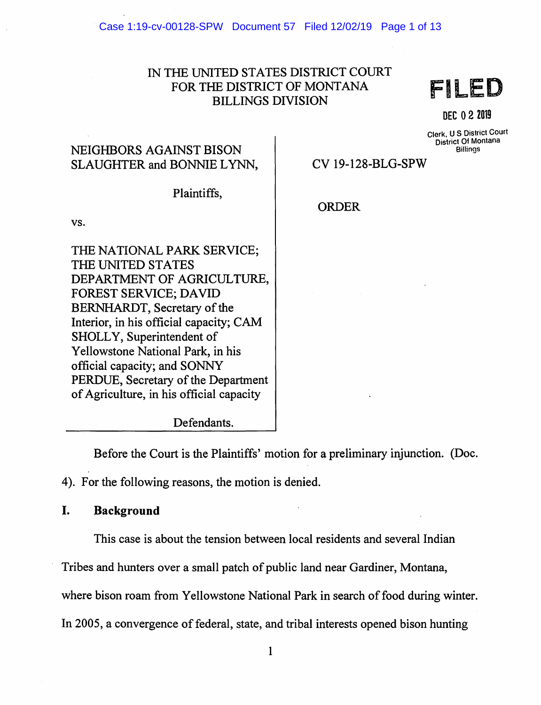## IN THE UNITED STATES DISTRICT COURT FOR THE DISTRICT OF MONTANA BILLINGS DIVISION

FILED

DEC 0 2 <sup>2019</sup>

Clerk, u s District Court District Of Montana **Billings** 

# NEIGHBORS AGAINST BISON SLAUGHTER and BONNIE LYNN,

CV 19-128-BLG-SPW

**ORDER** 

Plaintiffs,

vs.

THE NATIONAL PARK SERVICE; THE UNITED STATES DEPARTMENT OF AGRICULTURE, FOREST SERVICE; DAVID BERNHARDT, Secretary of the Interior, in his official capacity; CAM SHOLLY, Superintendent of Yellowstone National Park, in his official capacity; and SONNY PERDUE, Secretary of the Department of Agriculture, in his official capacity

Defendants.

Before the Court is the Plaintiffs' motion for a preliminary injunction. (Doc. 4). For the following reasons, the motion is denied.

## I. Background

This case is about the tension between local residents and several Indian

Tribes and hunters over a small patch of public land near Gardiner, Montana,

where bison roam from Yellowstone National Park in search of food during winter.

In 2005, a convergence of federal, state, and tribal interests opened bison hunting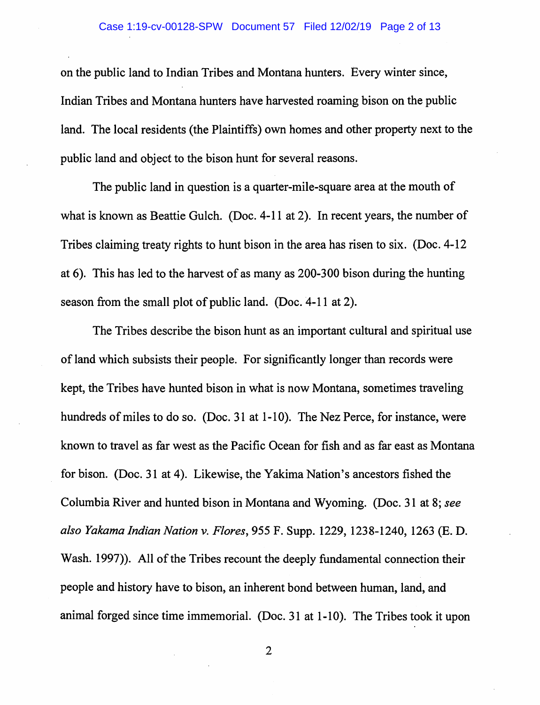on the public land to Indian Tribes and Montana hunters. Every winter since, Indian Tribes and Montana hunters have harvested roaming bison on the public land. The local residents (the Plaintiffs) own homes and other property next to the public land and object to the bison hunt for several reasons.

The public land in question is a quarter-mile-square area at the mouth of what is known as Beattie Gulch. (Doc. 4-11 at 2). In recent years, the number of Tribes claiming treaty rights to hunt bison in the area has risen to six. (Doc. 4-12 at 6). This has led to the harvest of as many as 200-300 bison during the hunting season from the small plot of public land. (Doc. 4-11 at 2).

The Tribes describe the bison hunt as an important cultural and spiritual use of land which subsists their people. For significantly longer than records were kept, the Tribes have hunted bison in what is now Montana, sometimes traveling hundreds of miles to do so. (Doc. 31 at 1-10). The Nez Perce, for instance, were known to travel as far west as the Pacific Ocean for fish and as far east as Montana for bison. (Doc. 31 at 4). Likewise, the Yakima Nation's ancestors fished the Columbia River and hunted bison in Montana and Wyoming. (Doc. 31 at 8; *see also Yakama Indian Nation v. Flores,* 955 F. Supp. 1229, 1238-1240, 1263 (E. D. Wash. 1997). All of the Tribes recount the deeply fundamental connection their people and history have to bison, an inherent bond between human, land, and animal forged since time immemorial. (Doc. 31 at 1-10). The Tribes took it upon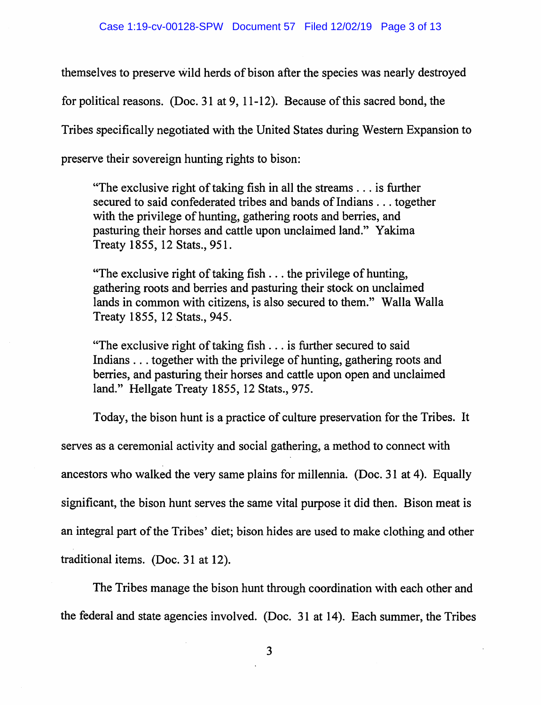themselves to preserve wild herds of bison after the species was nearly destroyed for political reasons. (Doc. 31 at 9, 11-12). Because of this sacred bond, the Tribes specifically negotiated with the United States during Western Expansion to preserve their sovereign hunting rights to bison:

"The exclusive right of taking fish in all the streams  $\dots$  is further secured to said confederated tribes and bands of Indians ... together with the privilege of hunting, gathering roots and berries, and pasturing their horses and cattle upon unclaimed land." Yakima Treaty 1855, 12 Stats., 951.

"The exclusive right of taking fish  $\ldots$  the privilege of hunting, gathering roots and berries and pasturing their stock on unclaimed lands in common with citizens, is also secured to them." Walla Walla Treaty 1855, 12 Stats., 945.

"The exclusive right of taking fish ... is further secured to said Indians ... together with the privilege of hunting, gathering roots and berries, and pasturing their horses and cattle upon open and unclaimed land." Hellgate Treaty 1855, 12 Stats., 975.

Today, the bison hunt is a practice of culture preservation for the Tribes. It serves as a ceremonial activity and social gathering, a method to connect with ancestors who walked the very same plains for millennia. (Doc. 31 at 4). Equally significant, the bison hunt serves the same vital purpose it did then. Bison meat is an integral part of the Tribes' diet; bison hides are used to make clothing and other traditional items. (Doc. 31 at 12).

The Tribes manage the bison hunt through coordination with each other and the federal and state agencies involved. (Doc. 31 at 14). Each summer, the Tribes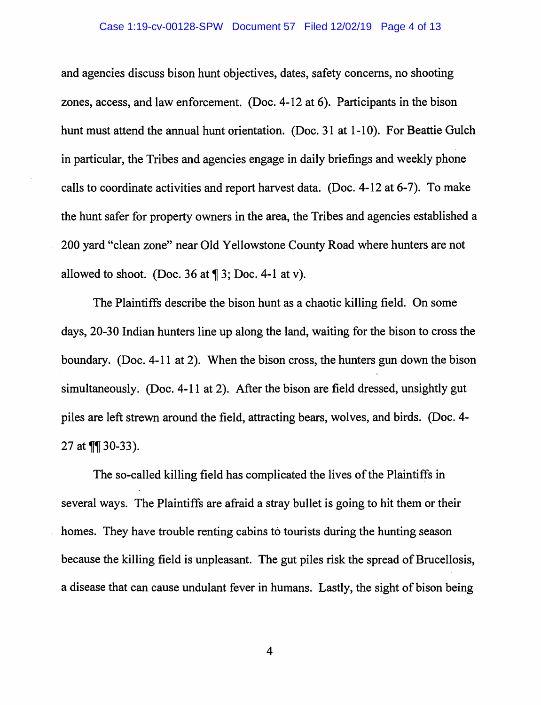and agencies discuss bison hunt objectives, dates, safety concerns, no shooting zones, access, and law enforcement. (Doc. 4-12 at 6). Participants in the bison hunt must attend the annual hunt orientation. (Doc. 31 at 1-10). For Beattie Gulch in particular, the Tribes and agencies engage in daily briefings and weekly phone calls to coordinate activities and report harvest data. (Doc. 4-12 at 6-7). To make the hunt safer for property owners in the area, the Tribes and agencies established a 200 yard "clean zone" near Old Yellowstone County Road where hunters are not allowed to shoot. (Doc. 36 at  $\P$  3; Doc. 4-1 at v).

The Plaintiffs describe the bison hunt as a chaotic killing field. On some days, 20-30 Indian hunters line up along the land, waiting for the bison to cross the boundary. (Doc. 4-11 at 2). When the bison cross, the hunters gun down the bison simultaneously. (Doc. 4-11 at 2). After the bison are field dressed, unsightly gut piles are left strewn around the field, attracting bears, wolves, and birds. (Doc. 4- 27 at  $\P$  30-33).

The so-called killing field has complicated the lives of the Plaintiffs in several ways. The Plaintiffs are afraid a stray bullet is going to hit them or their homes. They have trouble renting cabins to tourists during the hunting season because the killing field is unpleasant. The gut piles risk the spread of Brucellosis, a disease that can cause undulant fever in humans. Lastly, the sight of bison being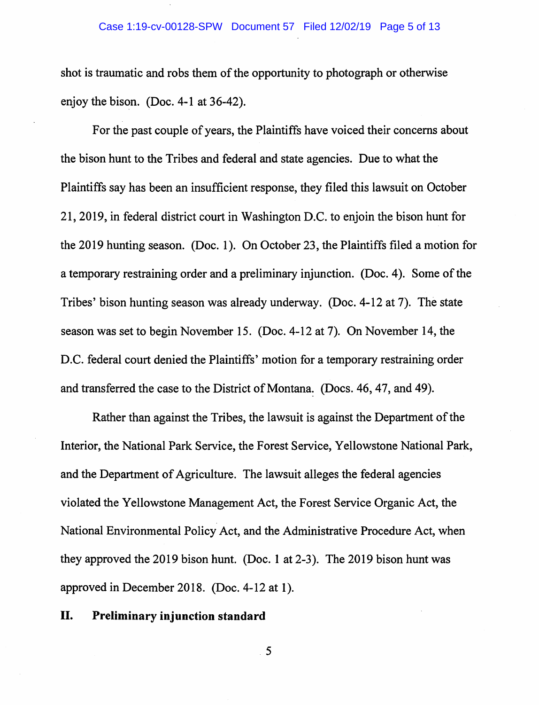shot is traumatic and robs them of the opportunity to photograph or otherwise enjoy the bison. (Doc. 4-1 at  $36-42$ ).

For the past couple of years, the Plaintiffs have voiced their concerns about the bison hunt to the Tribes and federal and state agencies. Due to what the Plaintiffs say has been an insufficient response, they filed this lawsuit on October 21, 2019, in federal district court in Washington D.C. to enjoin the bison hunt for the 2019 hunting season. (Doc. 1 ). On October 23, the Plaintiffs filed a motion for a temporary restraining order and a preliminary injunction. (Doc. 4 ). Some of the Tribes' bison hunting season was already underway. (Doc. 4-12 at 7). The state season was set to begin November 15. (Doc. 4-12 at 7). On November 14, the D.C. federal court denied the Plaintiffs' motion for a temporary restraining order and transferred the case to the District of Montana: (Docs. 46, 47, and 49).

Rather than against the Tribes, the lawsuit is against the Department of the Interior, the National Park Service, the Forest Service, Yellowstone National Park, and the Department of Agriculture. The lawsuit alleges the federal agencies violated the Yellowstone Management Act, the Forest Service Organic Act, the National Environmental Policy Act, and the Administrative Procedure Act, when they approved the 2019 bison hunt. (Doc. 1 at 2-3 ). The 2019 bison hunt was approved in December 2018. (Doc. 4-12 at 1).

### II. **Preliminary injunction standard**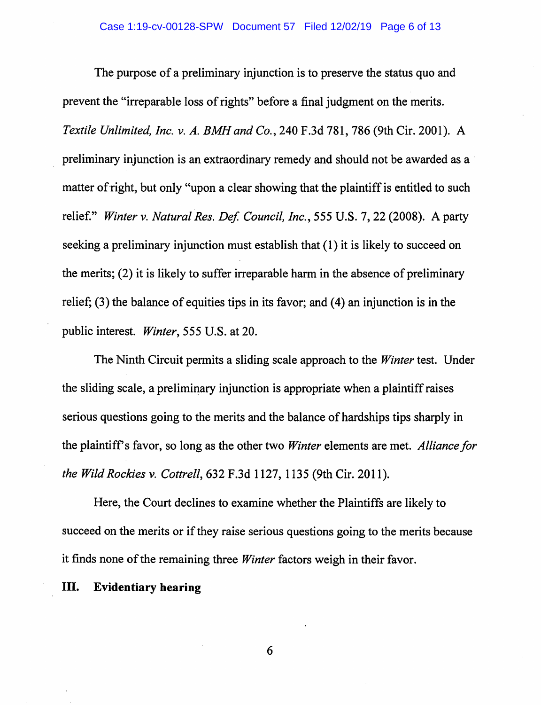The purpose of a preliminary injunction is to preserve the status quo and prevent the "irreparable loss of rights" before a final judgment on the merits. *Textile Unlimited, Inc. v. A. BMH and Co.,* 240 F.3d 781, 786 (9th Cir. 2001). A preliminary injunction is an extraordinary remedy and should not be awarded as a matter of right, but only "upon a clear showing that the plaintiff is entitled to such relief." Winter v. Natural Res. Def. Council, Inc., 555 U.S. 7, 22 (2008). A party seeking a preliminary injunction must establish that ( 1) it is likely to succeed on the merits; (2) it is likely to suffer irreparable harm in the absence of preliminary relief;  $(3)$  the balance of equities tips in its favor; and  $(4)$  an injunction is in the public interest. *Winter,* 555 U.S. at 20.

The Ninth Circuit permits a sliding scale approach to the *Winter* test. Under the sliding scale, a preliminary injunction is appropriate when a plaintiff raises serious questions going to the merits and the balance of hardships tips sharply in the plaintiff's favor, so long as the other two *Winter* elements are met. *Alliance for the Wild Rockies v. Cottrell,* 632 F.3d 1127, 1135 (9th Cir. 2011).

Here, the Court declines to examine whether the Plaintiffs are likely to succeed on the merits or if they raise serious questions going to the merits because it finds none of the remaining three *Winter* factors weigh in their favor.

#### III. **Evidentiary hearing**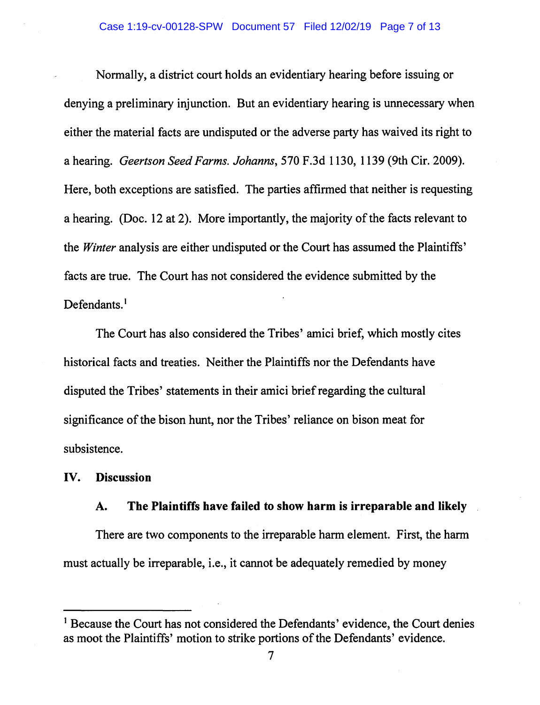Normally, a district court holds an evidentiary hearing before issuing or denying a preliminary injunction. But an evidentiary hearing is unnecessary when either the material facts are undisputed or the adverse party has waived its right to a hearing. *Geertson Seed Farms. Johanns,* 570 F.3d 1130, 1139 (9th Cir. 2009). Here, both exceptions are satisfied. The parties affirmed that neither is requesting a hearing. (Doc. 12 at 2). More importantly, the majority of the facts relevant to the *Winter* analysis are either undisputed or the Court has assumed the Plaintiffs' facts are true. The Court has not considered the evidence submitted by the Defendants.<sup>1</sup>

The Court has also considered the Tribes' amici brief, which mostly cites historical facts and treaties. Neither the Plaintiffs nor the Defendants have disputed the Tribes' statements in their amici brief regarding the cultural significance of the bison hunt, nor the Tribes' reliance on bison meat for subsistence.

#### IV. **Discussion**

## **A. The Plaintiffs have failed to show harm is irreparable and likely**

There are two components to the irreparable harm element. First, the harm must actually be irreparable, i.e., it cannot be adequately remedied by money

<sup>&</sup>lt;sup>1</sup> Because the Court has not considered the Defendants' evidence, the Court denies as moot the Plaintiffs' motion to strike portions of the Defendants' evidence.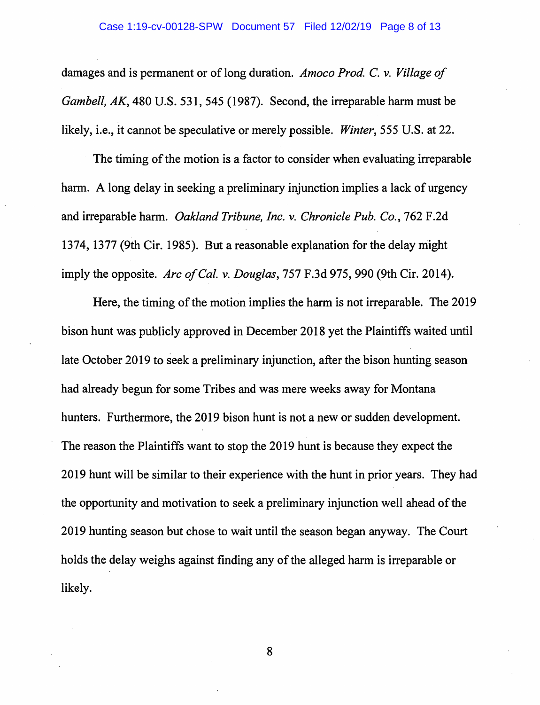damages and is permanent or of long duration. *Amoco Prod. C.* v. *Village of Gambell, AK,* 480 U.S. 531, 545 (1987). Second, the irreparable harm must be likely, i.e., it cannot be speculative or merely possible. *Winter,* 555 U.S. at 22.

The timing of the motion is a factor to consider when evaluating irreparable harm. A long delay in seeking a preliminary injunction implies a lack of urgency and irreparable harm. *Oakland Tribune, Inc.* v. *Chronicle Pub. Co.,* 762 F.2d 1374, 1377 (9th Cir. 1985). But a reasonable explanation for the delay might imply the opposite. *Arc of Cal.* v. *Douglas,* 757 F.3d 975, 990 (9th Cir. 2014).

Here, the timing of the motion implies the harm is not irreparable. The 2019 bison hunt was publicly approved in December 2018 yet the Plaintiffs waited until late October 2019 to seek a preliminary injunction, after the bison hunting season had already begun for some Tribes and was mere weeks away for Montana hunters. Furthermore, the 2019 bison hunt is not a new or sudden development. The reason the Plaintiffs want to stop the 2019 hunt is because they expect the 2019 hunt will be similar to their experience with the hunt in prior years. They had the opportunity and motivation to seek a preliminary injunction well ahead of the 2019 hunting season but chose to wait until the season began anyway. The Court holds the delay weighs against finding any of the alleged harm is irreparable or likely.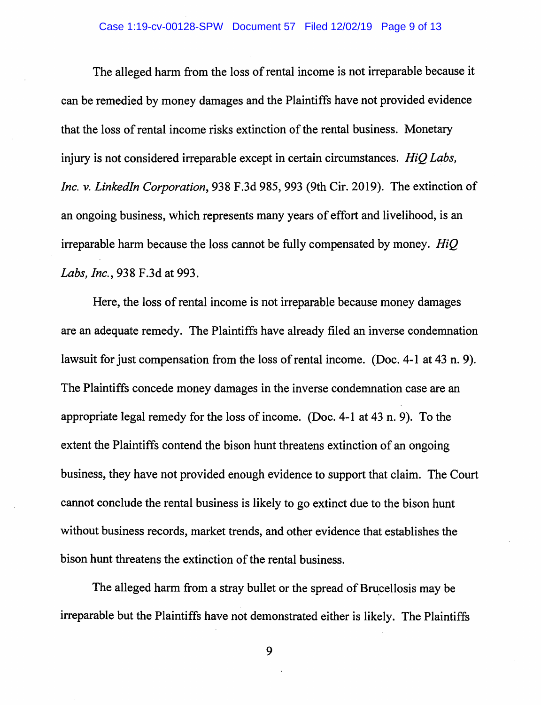The alleged harm from the loss of rental income is not irreparable because it can be remedied by money damages and the Plaintiffs have not provided evidence that the loss of rental income risks extinction of the rental business. Monetary injury is not considered irreparable except in certain circumstances. *HiQ Labs, Inc. v. Linkedln Corporation,* 938 F.3d 985, 993 (9th Cir. 2019). The extinction of an ongoing business, which represents many years of effort and livelihood, is an irreparable harm because the loss cannot be fully compensated by money. *HiQ Labs, Inc., 938 F.3d at 993.* 

Here, the loss of rental income is not irreparable because money damages are an adequate remedy. The Plaintiffs have already filed an inverse condemnation lawsuit for just compensation from the loss of rental income. (Doc. 4-1 at 43 n. 9). The Plaintiffs concede money damages in the inverse condemnation case are an appropriate legal remedy for the loss of income. (Doc. 4-1 at 43 n. 9). To the extent the Plaintiffs contend the bison hunt threatens extinction of an ongoing business, they have not provided enough evidence to support that claim. The Court cannot conclude the rental business is likely to go extinct due to the bison hunt without business records, market trends, and other evidence that establishes the bison hunt threatens the extinction of the rental business.

The alleged harm from a stray bullet or the spread of Brucellosis may be irreparable but the Plaintiffs have not demonstrated either is likely. The Plaintiffs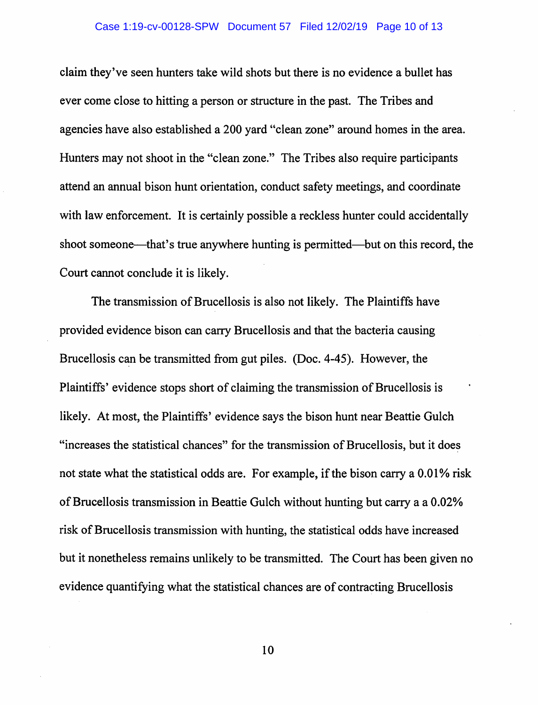#### Case 1:19-cv-00128-SPW Document 57 Filed 12/02/19 Page 10 of 13

claim they've seen hunters take wild shots but there is no evidence a bullet has ever come close to hitting a person or structure in the past. The Tribes and agencies have also established a 200 yard "clean zone" around homes in the area. Hunters may not shoot in the "clean zone." The Tribes also require participants attend an annual bison hunt orientation, conduct safety meetings, and coordinate with law enforcement. It is certainly possible a reckless hunter could accidentally shoot someone—that's true anywhere hunting is permitted—but on this record, the Court cannot conclude it is likely.

The transmission of Brucellosis is also not likely. The Plaintiffs have provided evidence bison can carry Brucellosis and that the bacteria causing Brucellosis can be transmitted from gut piles. (Doc. 4-45). However, the Plaintiffs' evidence stops short of claiming the transmission of Brucellosis is likely. At most, the Plaintiffs' evidence says the bison hunt near Beattie Gulch "increases the statistical chances" for the transmission of Brucellosis, but it does not state what the statistical odds are. For example, if the bison carry a 0.01% risk of Brucellosis transmission in Beattie Gulch without hunting but carry a a 0.02% risk of Brucellosis transmission with hunting, the statistical odds have increased but it nonetheless remains unlikely to be transmitted. The Court has been given no evidence quantifying what the statistical chances are of contracting Brucellosis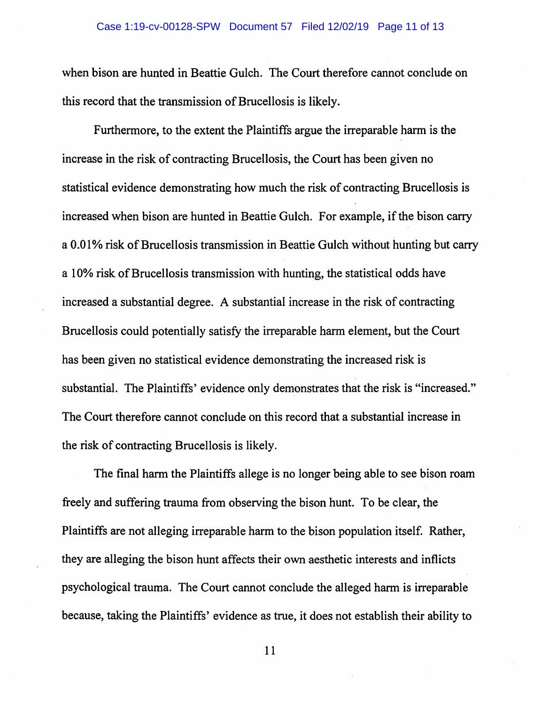when bison are hunted in Beattie Gulch. The Court therefore cannot conclude on this record that the transmission of Brucellosis is likely.

Furthermore, to the extent the Plaintiffs argue the irreparable harm is the increase in the risk of contracting Brucellosis, the Court has been given no statistical evidence demonstrating how much the risk of contracting Brucellosis is increased when bison are hunted in Beattie Gulch. For example, if the bison carry a 0.01% risk of Brucellosis transmission in Beattie Gulch without hunting but carry a 10% risk of Brucellosis transmission with hunting, the statistical odds have increased a substantial degree. A substantial increase in the risk of contracting Brucellosis could potentially satisfy the irreparable harm element, but the Court has been given no statistical evidence demonstrating the increased risk is substantial. The Plaintiffs' evidence only demonstrates that the risk is "increased." The Court therefore cannot conclude on this record that a substantial increase in the risk of contracting Brucellosis is likely.

The final harm the Plaintiffs allege is no longer being able to see bison roam freely and suffering trauma from observing the bison hunt. To be clear, the Plaintiffs are not alleging irreparable harm to the bison population itself. Rather, they are alleging the bison hunt affects their own aesthetic interests and inflicts psychological trauma. The Court cannot conclude the alleged harm is irreparable because, taking the Plaintiffs' evidence as true, it does not establish their ability to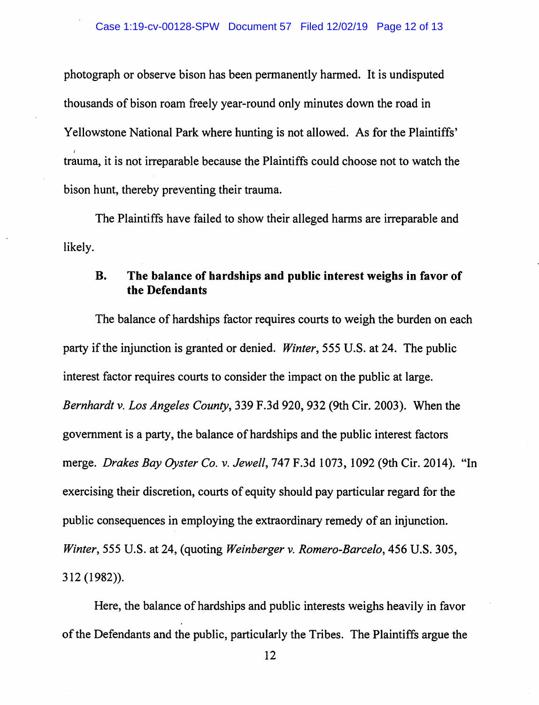photograph or observe bison has been permanently harmed. It is undisputed thousands of bison roam freely year-round only minutes down the road in Yellowstone National Park where hunting is not allowed. As for the Plaintiffs' I trauma, it is not irreparable because the Plaintiffs could choose not to watch the bison hunt, thereby preventing their trauma.

likely. The Plaintiffs have failed to show their alleged harms are irreparable and

## **B. The balance of hardships and public interest weighs in favor of the Defendants**

The balance of hardships factor requires courts to weigh the burden on each party if the injunction is granted or denied. *Winter,* 555 U.S. at 24. The public interest factor requires courts to consider the impact on the public at large. *Bernhardt v. Los Angeles County,* 339 F.3d 920, 932 (9th Cir. 2003). When the government is a party, the balance of hardships and the public interest factors merge. *Drakes Bay Oyster Co. v. Jewell,* 747 F.3d 1073, 1092 (9th Cir. 2014). "In exercising their discretion, courts of equity should pay particular regard for the public consequences in employing the extraordinary remedy of an injunction. *Winter,* 555 U.S. at 24, (quoting *Weinberger v. Romero-Barcelo,* 456 U.S. 305, 312 (1982)).

Here, the balance of hardships and public interests weighs heavily in favor of the Defendants and the public, particularly the Tribes. The Plaintiffs argue the